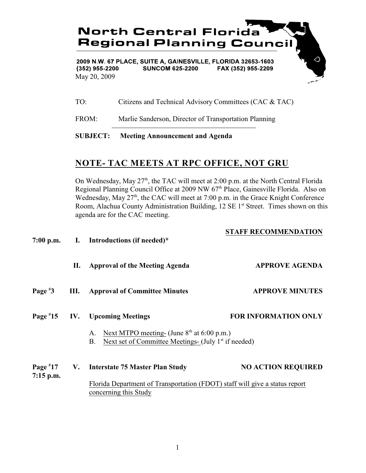

 $(352)$  955-2200 **SUNCOM 625-2200** FAX (352) 955-2209 May 20, 2009

TO: Citizens and Technical Advisory Committees (CAC & TAC)

FROM: Marlie Sanderson, Director of Transportation Planning

## **SUBJECT: Meeting Announcement and Agenda**

## **NOTE- TAC MEETS AT RPC OFFICE, NOT GRU**

On Wednesday, May  $27<sup>th</sup>$ , the TAC will meet at 2:00 p.m. at the North Central Florida Regional Planning Council Office at 2009 NW 67<sup>th</sup> Place, Gainesville Florida. Also on Wednesday, May  $27<sup>th</sup>$ , the CAC will meet at 7:00 p.m. in the Grace Knight Conference Room, Alachua County Administration Building,  $12 \text{ SE } 1^{\text{st}}$  Street. Times shown on this agenda are for the CAC meeting.

|                           |      | 7:00 p.m. I. Introductions (if needed)*                                                                                   | <b>STAFF RECOMMENDATION</b> |  |
|---------------------------|------|---------------------------------------------------------------------------------------------------------------------------|-----------------------------|--|
|                           | П.   | <b>Approval of the Meeting Agenda</b>                                                                                     | <b>APPROVE AGENDA</b>       |  |
| Page $*3$                 | III. | <b>Approval of Committee Minutes</b>                                                                                      | <b>APPROVE MINUTES</b>      |  |
| Page $*15$                |      | <b>IV.</b> Upcoming Meetings                                                                                              | <b>FOR INFORMATION ONLY</b> |  |
|                           |      | A. Next MTPO meeting- (June $8th$ at 6:00 p.m.)<br>Next set of Committee Meetings- (July 1 <sup>st</sup> if needed)<br>B. |                             |  |
| Page $*17$<br>$7:15$ p.m. |      | V. Interstate 75 Master Plan Study                                                                                        | <b>NO ACTION REQUIRED</b>   |  |
|                           |      | Florida Department of Transportation (FDOT) staff will give a status report<br>concerning this Study                      |                             |  |